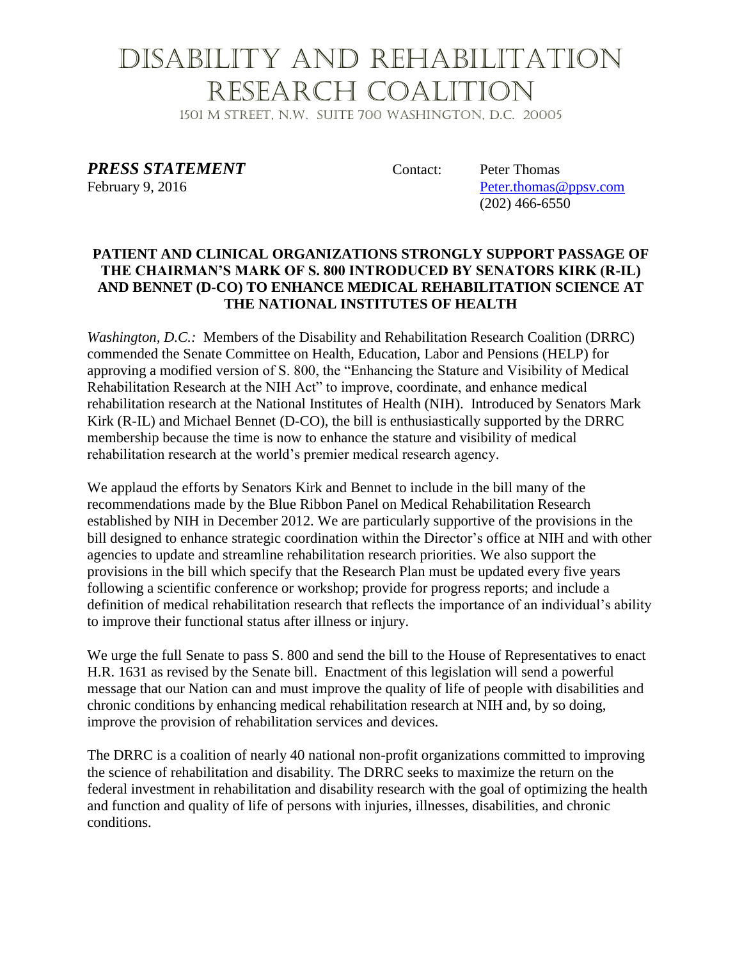## Disability and Rehabilitation Research Coalition

1501 M Street, N.W. Suite 700 Washington, D.C. 20005

**PRESS STATEMENT** Contact: Peter Thomas

February 9, 2016 Peter.thomas @ppsv.com (202) 466-6550

### **PATIENT AND CLINICAL ORGANIZATIONS STRONGLY SUPPORT PASSAGE OF THE CHAIRMAN'S MARK OF S. 800 INTRODUCED BY SENATORS KIRK (R-IL) AND BENNET (D-CO) TO ENHANCE MEDICAL REHABILITATION SCIENCE AT THE NATIONAL INSTITUTES OF HEALTH**

*Washington, D.C.:* Members of the Disability and Rehabilitation Research Coalition (DRRC) commended the Senate Committee on Health, Education, Labor and Pensions (HELP) for approving a modified version of S. 800, the "Enhancing the Stature and Visibility of Medical Rehabilitation Research at the NIH Act" to improve, coordinate, and enhance medical rehabilitation research at the National Institutes of Health (NIH). Introduced by Senators Mark Kirk (R-IL) and Michael Bennet (D-CO), the bill is enthusiastically supported by the DRRC membership because the time is now to enhance the stature and visibility of medical rehabilitation research at the world's premier medical research agency.

We applaud the efforts by Senators Kirk and Bennet to include in the bill many of the recommendations made by the Blue Ribbon Panel on Medical Rehabilitation Research established by NIH in December 2012. We are particularly supportive of the provisions in the bill designed to enhance strategic coordination within the Director's office at NIH and with other agencies to update and streamline rehabilitation research priorities. We also support the provisions in the bill which specify that the Research Plan must be updated every five years following a scientific conference or workshop; provide for progress reports; and include a definition of medical rehabilitation research that reflects the importance of an individual's ability to improve their functional status after illness or injury.

We urge the full Senate to pass S. 800 and send the bill to the House of Representatives to enact H.R. 1631 as revised by the Senate bill. Enactment of this legislation will send a powerful message that our Nation can and must improve the quality of life of people with disabilities and chronic conditions by enhancing medical rehabilitation research at NIH and, by so doing, improve the provision of rehabilitation services and devices.

The DRRC is a coalition of nearly 40 national non-profit organizations committed to improving the science of rehabilitation and disability. The DRRC seeks to maximize the return on the federal investment in rehabilitation and disability research with the goal of optimizing the health and function and quality of life of persons with injuries, illnesses, disabilities, and chronic conditions.